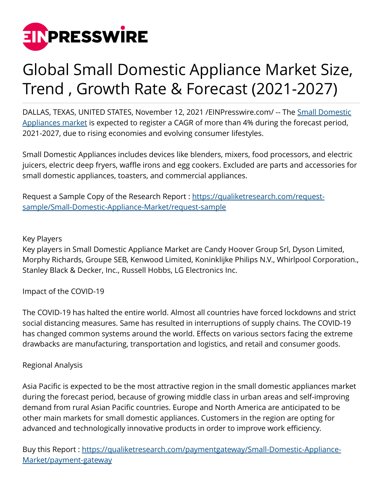

# Global Small Domestic Appliance Market Size, Trend , Growth Rate & Forecast (2021-2027)

DALLAS, TEXAS, UNITED STATES, November 12, 2021 / EINPresswire.com/ -- The [Small Domestic](https://qualiketresearch.com/reports-details/Small-Domestic-Appliance-Market) [Appliances market](https://qualiketresearch.com/reports-details/Small-Domestic-Appliance-Market) is expected to register a CAGR of more than 4% during the forecast period, 2021-2027, due to rising economies and evolving consumer lifestyles.

Small Domestic Appliances includes devices like blenders, mixers, food processors, and electric juicers, electric deep fryers, waffle irons and egg cookers. Excluded are parts and accessories for small domestic appliances, toasters, and commercial appliances.

Request a Sample Copy of the Research Report : [https://qualiketresearch.com/request](https://qualiketresearch.com/request-sample/Small-Domestic-Appliance-Market/request-sample)[sample/Small-Domestic-Appliance-Market/request-sample](https://qualiketresearch.com/request-sample/Small-Domestic-Appliance-Market/request-sample)

## Key Players

Key players in Small Domestic Appliance Market are Candy Hoover Group Srl, Dyson Limited, Morphy Richards, Groupe SEB, Kenwood Limited, Koninklijke Philips N.V., Whirlpool Corporation., Stanley Black & Decker, Inc., Russell Hobbs, LG Electronics Inc.

Impact of the COVID-19

The COVID-19 has halted the entire world. Almost all countries have forced lockdowns and strict social distancing measures. Same has resulted in interruptions of supply chains. The COVID-19 has changed common systems around the world. Effects on various sectors facing the extreme drawbacks are manufacturing, transportation and logistics, and retail and consumer goods.

# Regional Analysis

Asia Pacific is expected to be the most attractive region in the small domestic appliances market during the forecast period, because of growing middle class in urban areas and self-improving demand from rural Asian Pacific countries. Europe and North America are anticipated to be other main markets for small domestic appliances. Customers in the region are opting for advanced and technologically innovative products in order to improve work efficiency.

Buy this Report : [https://qualiketresearch.com/paymentgateway/Small-Domestic-Appliance-](https://qualiketresearch.com/paymentgateway/Small-Domestic-Appliance-Market/payment-gateway)[Market/payment-gateway](https://qualiketresearch.com/paymentgateway/Small-Domestic-Appliance-Market/payment-gateway)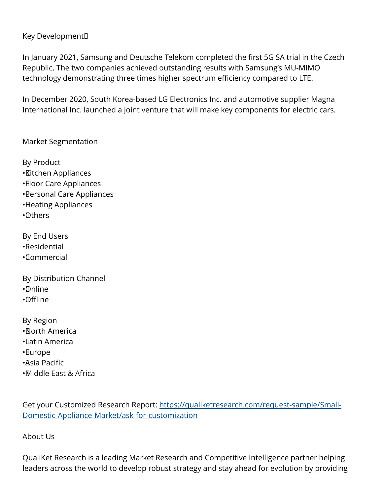## Key Development

In January 2021, Samsung and Deutsche Telekom completed the first 5G SA trial in the Czech Republic. The two companies achieved outstanding results with Samsung's MU-MIMO technology demonstrating three times higher spectrum efficiency compared to LTE.

In December 2020, South Korea-based LG Electronics Inc. and automotive supplier Magna International Inc. launched a joint venture that will make key components for electric cars.

Market Segmentation

By Product • Kitchen Appliances • Eloor Care Appliances • Personal Care Appliances • Heating Appliances • Others

By End Users • Residential • Commercial

By Distribution Channel • Online • Offline

By Region • North America • Latin America • Europe • Asia Pacific

• Middle East & Africa

Get your Customized Research Report: [https://qualiketresearch.com/request-sample/Small-](https://qualiketresearch.com/request-sample/Small-Domestic-Appliance-Market/ask-for-customization)[Domestic-Appliance-Market/ask-for-customization](https://qualiketresearch.com/request-sample/Small-Domestic-Appliance-Market/ask-for-customization)

#### About Us

QualiKet Research is a leading Market Research and Competitive Intelligence partner helping leaders across the world to develop robust strategy and stay ahead for evolution by providing